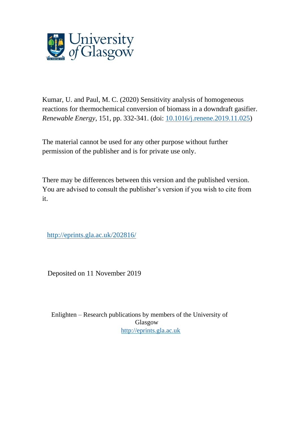

Kumar, U. and Paul, M. C. (2020) Sensitivity analysis of homogeneous reactions for thermochemical conversion of biomass in a downdraft gasifier. *Renewable Energy*, 151, pp. 332-341. (doi: [10.1016/j.renene.2019.11.025\)](http://dx.doi.org/10.1016/j.renene.2019.11.025)

The material cannot be used for any other purpose without further permission of the publisher and is for private use only.

There may be differences between this version and the published version. You are advised to consult the publisher's version if you wish to cite from it.

<http://eprints.gla.ac.uk/202816/>

Deposited on 11 November 2019

Enlighten – Research publications by members of the University of Glasgow [http://eprints.gla.ac.uk](http://eprints.gla.ac.uk/)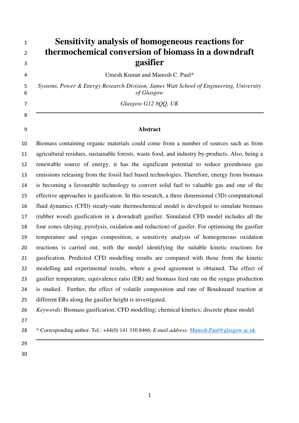# **Sensitivity analysis of homogeneous reactions for thermochemical conversion of biomass in a downdraft gasifier**

Umesh Kumar and Manosh C. Paul\*

*Systems, Power & Energy Research Division, James Watt School of Engineering, University of Glasgow* 

*Glasgow G12 8QQ, UK* 

## **Abstract**

Biomass containing organic materials could come from a number of sources such as from agricultural residues, sustainable forests, waste food, and industry by-products. Also, being a renewable source of energy, it has the significant potential to reduce greenhouse gas emissions releasing from the fossil fuel based technologies. Therefore, energy from biomass is becoming a favourable technology to convert solid fuel to valuable gas and one of the effective approaches is gasification. In this research, a three dimensional (3D) computational fluid dynamics (CFD) steady-state thermochemical model is developed to simulate biomass (rubber wood) gasification in a downdraft gasifier. Simulated CFD model includes all the four zones (drying, pyrolysis, oxidation and reduction) of gasifer. For optimising the gasifier temperature and syngas composition, a sensitivity analysis of homogeneous oxidation reactions is carried out, with the model identifying the suitable kinetic reactions for gasification. Predicted CFD modelling results are compared with those from the kinetic modelling and experimental results, where a good agreement is obtained. The effect of gasifier temperature, equivalence ratio (ER) and biomass feed rate on the syngas production is studied. Further, the effect of volatile composition and rate of Boudouard reaction at different ERs along the gasifier height is investigated.

- \* Corresponding author. Tel.: +44(0) 141 330 8466; *E-mail address:* Manosh.Paul@glasgow.ac.uk
- 
- 

*Keywords:* Biomass gasification; CFD modelling; chemical kinetics; discrete phase model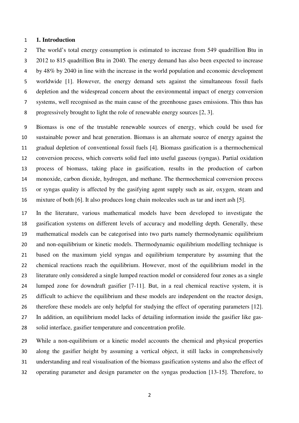#### **1. Introduction**

The world's total energy consumption is estimated to increase from 549 quadrillion Btu in 2012 to 815 quadrillion Btu in 2040. The energy demand has also been expected to increase by 48% by 2040 in line with the increase in the world population and economic development worldwide [1]. However, the energy demand sets against the simultaneous fossil fuels depletion and the widespread concern about the environmental impact of energy conversion systems, well recognised as the main cause of the greenhouse gases emissions. This thus has progressively brought to light the role of renewable energy sources [2, 3].

Biomass is one of the trustable renewable sources of energy, which could be used for sustainable power and heat generation. Biomass is an alternate source of energy against the gradual depletion of conventional fossil fuels [4]. Biomass gasification is a thermochemical conversion process, which converts solid fuel into useful gaseous (syngas). Partial oxidation process of biomass, taking place in gasification, results in the production of carbon monoxide, carbon dioxide, hydrogen, and methane. The thermochemical conversion process or syngas quality is affected by the gasifying agent supply such as air, oxygen, steam and mixture of both [6]. It also produces long chain molecules such as tar and inert ash [5].

In the literature, various mathematical models have been developed to investigate the gasification systems on different levels of accuracy and modelling depth. Generally, these mathematical models can be categorised into two parts namely thermodynamic equilibrium and non-equilibrium or kinetic models. Thermodynamic equilibrium modelling technique is based on the maximum yield syngas and equilibrium temperature by assuming that the chemical reactions reach the equilibrium. However, most of the equilibrium model in the literature only considered a single lumped reaction model or considered four zones as a single lumped zone for downdraft gasifier [7-11]. But, in a real chemical reactive system, it is difficult to achieve the equilibrium and these models are independent on the reactor design, therefore these models are only helpful for studying the effect of operating parameters [12]. In addition, an equilibrium model lacks of detailing information inside the gasifier like gas-solid interface, gasifier temperature and concentration profile.

While a non-equilibrium or a kinetic model accounts the chemical and physical properties along the gasifier height by assuming a vertical object, it still lacks in comprehensively understanding and real visualisation of the biomass gasification systems and also the effect of operating parameter and design parameter on the syngas production [13-15]. Therefore, to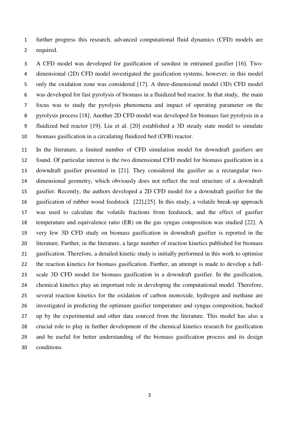further progress this research, advanced computational fluid dynamics (CFD) models are required.

A CFD model was developed for gasification of sawdust in entrained gasifier [16]. Two-dimensional (2D) CFD model investigated the gasification systems, however, in this model only the oxidation zone was considered [17]. A three-dimensional model (3D) CFD model was developed for fast pyrolysis of biomass in a fluidized bed reactor. In that study, the main focus was to study the pyrolysis phenomena and impact of operating parameter on the pyrolysis process [18]. Another 2D CFD model was developed for biomass fast pyrolysis in a fluidized bed reactor [19]. Liu et al. [20] established a 3D steady state model to simulate biomass gasification in a circulating fluidized bed (CFB) reactor.

In the literature, a limited number of CFD simulation model for downdraft gasifiers are found. Of particular interest is the two dimensional CFD model for biomass gasification in a downdraft gasifier presented in [21]. They considered the gasifier as a rectangular two-dimensional geometry, which obviously does not reflect the real structure of a downdraft gasifier. Recently, the authors developed a 2D CFD model for a downdraft gasifier for the gasification of rubber wood feedstock [22],[25]. In this study, a volatile break-up approach was used to calculate the volatile fractions from feedstock, and the effect of gasifier temperature and equivalence ratio (ER) on the gas syngas composition was studied [22]. A very few 3D CFD study on biomass gasification in downdraft gasifier is reported in the literature. Further, in the literature, a large number of reaction kinetics published for biomass gasification. Therefore, a detailed kinetic study is initially performed in this work to optimise the reaction kinetics for biomass gasification. Further, an attempt is made to develop a full-scale 3D CFD model for biomass gasification in a downdraft gasifier. In the gasification, chemical kinetics play an important role in developing the computational model. Therefore, several reaction kinetics for the oxidation of carbon monoxide, hydrogen and methane are investigated in predicting the optimum gasifier temperature and syngas composition, backed up by the experimental and other data sourced from the literature. This model has also a crucial role to play in further development of the chemical kinetics research for gasification and be useful for better understanding of the biomass gasification process and its design conditions.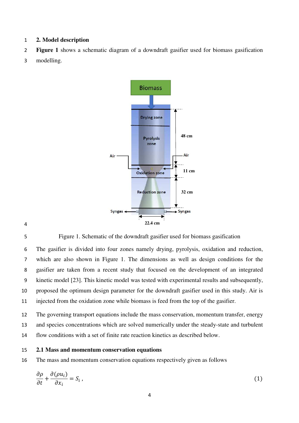## **2. Model description**

- **Figure 1** shows a schematic diagram of a downdraft gasifier used for biomass gasification
- modelling.



Figure 1. Schematic of the downdraft gasifier used for biomass gasification

The gasifier is divided into four zones namely drying, pyrolysis, oxidation and reduction, which are also shown in Figure 1. The dimensions as well as design conditions for the gasifier are taken from a recent study that focused on the development of an integrated kinetic model [23]. This kinetic model was tested with experimental results and subsequently, proposed the optimum design parameter for the downdraft gasifier used in this study. Air is injected from the oxidation zone while biomass is feed from the top of the gasifier.

The governing transport equations include the mass conservation, momentum transfer, energy and species concentrations which are solved numerically under the steady-state and turbulent flow conditions with a set of finite rate reaction kinetics as described below.

#### **2.1 Mass and momentum conservation equations**

The mass and momentum conservation equations respectively given as follows

$$
\frac{\partial \rho}{\partial t} + \frac{\partial (\rho u_i)}{\partial x_i} = S_i \,, \tag{1}
$$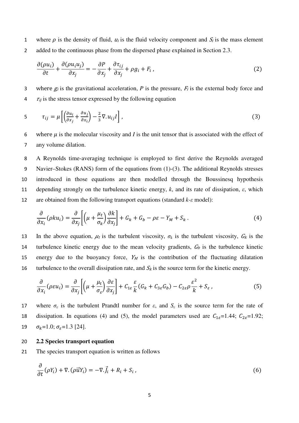1 where  $\rho$  is the density of fluid,  $u_i$  is the fluid velocity component and  $S_i$  is the mass element 2 added to the continuous phase from the dispersed phase explained in Section 2.3.

$$
\frac{\partial(\rho u_i)}{\partial t} + \frac{\partial(\rho u_i u_j)}{\partial x_j} = -\frac{\partial P}{\partial x_j} + \frac{\partial \tau_{ij}}{\partial x_j} + \rho g_i + F_i,
$$
\n(2)

3 where  $g_i$  is the gravitational acceleration, *P* is the pressure,  $F_i$  is the external body force and  $\tau_{ij}$  is the stress tensor expressed by the following equation

$$
5 \qquad \tau_{ij} = \mu \left[ \left( \frac{\partial u_i}{\partial x_j} + \frac{\partial u_j}{\partial x_i} \right) - \frac{2}{3} \nabla u_{ij} I \right], \tag{3}
$$

6 where  $\mu$  is the molecular viscosity and *I* is the unit tensor that is associated with the effect of 7 any volume dilation.

A Reynolds time-averaging technique is employed to first derive the Reynolds averaged Navier–Stokes (RANS) form of the equations from (1)-(3). The additional Reynolds stresses introduced in those equations are then modelled through the Boussinesq hypothesis 11 depending strongly on the turbulence kinetic energy,  $k$ , and its rate of dissipation,  $\varepsilon$ , which are obtained from the following transport equations (standard *k-ε* model):

$$
\frac{\partial}{\partial x_i}(\rho k u_i) = \frac{\partial}{\partial x_j} \left[ \left( \mu + \frac{\mu_t}{\sigma_k} \right) \frac{\partial k}{\partial x_j} \right] + G_k + G_b - \rho \varepsilon - Y_M + S_k \,. \tag{4}
$$

13 In the above equation,  $\mu_t$  is the turbulent viscosity,  $\sigma_k$  is the turbulent viscosity,  $G_k$  is the 14 turbulence kinetic energy due to the mean velocity gradients,  $G_b$  is the turbulence kinetic 15 energy due to the buoyancy force,  $Y_M$  is the contribution of the fluctuating dilatation 16 turbulence to the overall dissipation rate, and  $S_k$  is the source term for the kinetic energy.

$$
\frac{\partial}{\partial x_i}(\rho \varepsilon u_i) = \frac{\partial}{\partial x_j} \left[ \left( \mu + \frac{\mu_t}{\sigma_{\varepsilon}} \right) \frac{\partial \varepsilon}{\partial x_j} \right] + C_{1\varepsilon} \frac{\varepsilon}{k} (G_k + C_{3\varepsilon} G_b) - C_{2\varepsilon} \rho \frac{\varepsilon^2}{k} + S_{\varepsilon} \,, \tag{5}
$$

17 where  $\sigma_{\varepsilon}$  is the turbulent Prandtl number for  $\varepsilon$ , and  $S_{\varepsilon}$  is the source term for the rate of 18 dissipation. In equations (4) and (5), the model parameters used are  $C_{1\varepsilon}=1.44$ ;  $C_{2\varepsilon}=1.92$ ; 19  $\sigma_k = 1.0; \sigma_{\varepsilon} = 1.3$  [24].

#### 20 **2.2 Species transport equation**

21 The species transport equation is written as follows

$$
\frac{\partial}{\partial t}(\rho Y_i) + \nabla \cdot (\rho \vec{u} Y_i) = -\nabla \cdot \vec{J}_i + R_i + S_i, \qquad (6)
$$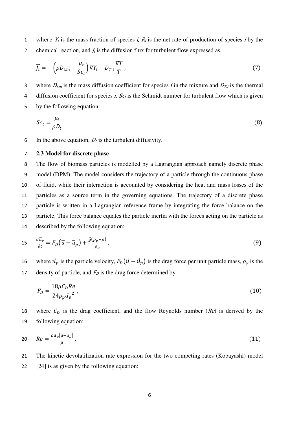1 where  $Y_i$  is the mass fraction of species i,  $R_i$  is the net rate of production of species i by the 2 chemical reaction, and  $f_i$  is the diffusion flux for turbulent flow expressed as

$$
\vec{J}_i = -\left(\rho D_{i,m} + \frac{\mu_t}{Sc_t}\right) \nabla Y_i - D_{T,i} \frac{\nabla T}{T},\tag{7}
$$

3 where  $D_{i,m}$  is the mass diffusion coefficient for species *i* in the mixture and  $D_{T,i}$  is the thermal 4 diffusion coefficient for species *i. Sc<sub>t</sub>* is the Schmidt number for turbulent flow which is given 5 by the following equation:

$$
Sc_t = \frac{\mu_t}{\rho D_t} \tag{8}
$$

6 In the above equation,  $D_t$  is the turbulent diffusivity.

## 7 **2.3 Model for discrete phase**

The flow of biomass particles is modelled by a Lagrangian approach namely discrete phase model (DPM). The model considers the trajectory of a particle through the continuous phase of fluid, while their interaction is accounted by considering the heat and mass losses of the particles as a source term in the governing equations. The trajectory of a discrete phase particle is written in a Lagrangian reference frame by integrating the force balance on the particle. This force balance equates the particle inertia with the forces acting on the particle as described by the following equation:

$$
15 \quad \frac{\partial \vec{u}_p}{\partial t} = F_D(\vec{u} - \vec{u}_p) + \frac{\vec{g}(\rho_p - \rho)}{\rho_p},\tag{9}
$$

16 where  $\vec{u}_p$  is the particle velocity,  $F_D(\vec{u} - \vec{u}_p)$  is the drag force per unit particle mass,  $\rho_p$  is the 17 density of particle, and  $F<sub>D</sub>$  is the drag force determined by

$$
F_D = \frac{18\mu C_D Re}{24\rho_p d_p^2},\tag{10}
$$

18 where  $C_D$  is the drag coefficient, and the flow Reynolds number (Re) is derived by the 19 following equation:

$$
Re = \frac{\rho d_p |u - u_p|}{\mu} \,. \tag{11}
$$

21 The kinetic devolatilization rate expression for the two competing rates (Kobayashi) model 22 [24] is as given by the following equation: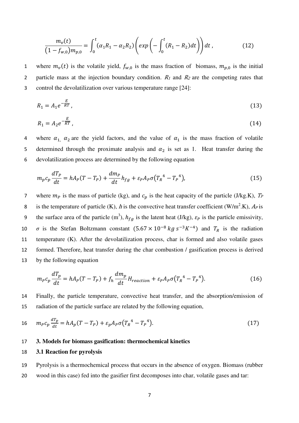$$
\frac{m_v(t)}{(1 - f_{w,0})m_{p,0}} = \int_0^t (\alpha_1 R_1 - \alpha_2 R_2) \left( exp \left( - \int_0^t (R_1 - R_2) dt \right) \right) dt , \qquad (12)
$$

1 where  $m_v(t)$  is the volatile yield,  $f_{w,0}$  is the mass fraction of biomass,  $m_{p,0}$  is the initial 2 particle mass at the injection boundary condition.  $R_1$  and  $R_2$  are the competing rates that 3 control the devolatilization over various temperature range [24]:

$$
R_1 = A_1 e^{-\frac{E}{RT}},\tag{13}
$$

$$
R_1 = A_2 e^{-\frac{E}{RT}},\tag{14}
$$

4 where  $\alpha_{1}$ ,  $\alpha_{2}$  are the yield factors, and the value of  $\alpha_{1}$  is the mass fraction of volatile 5 determined through the proximate analysis and  $\alpha_2$  is set as 1. Heat transfer during the 6 devolatilization process are determined by the following equation

$$
m_p c_p \frac{dT_p}{dt} = h A_p (T - T_p) + \frac{dm_p}{dt} h_{fg} + \varepsilon_p A_p \sigma (T_R^4 - T_p^4), \qquad (15)
$$

7 where  $m_p$  is the mass of particle (kg), and  $c_p$  is the heat capacity of the particle (J/kg.K),  $T_P$ 8 is the temperature of particle (K), h is the convective heat transfer coefficient (W/m<sup>2</sup>.K),  $A_P$  is 9 the surface area of the particle (m<sup>3</sup>),  $h_{fg}$  is the latent heat (J/kg),  $\varepsilon_p$  is the particle emissivity, 10  $\sigma$  is the Stefan Boltzmann constant  $(5.67 \times 10^{-8} \text{ kg s}^{-3} \text{K}^{-4})$  and  $T_R$  is the radiation 11 temperature (K). After the devolatilization process, char is formed and also volatile gases 12 formed. Therefore, heat transfer during the char combustion / gasification process is derived 13 by the following equation

$$
m_P c_p \frac{dT_p}{dt} = h A_P (T - T_P) + f_h \frac{dm_p}{dt} H_{reaction} + \varepsilon_P A_P \sigma (T_R^4 - T_P^4).
$$
 (16)

14 Finally, the particle temperature, convective heat transfer, and the absorption/emission of 15 radiation of the particle surface are related by the following equation,

$$
16 \qquad m_P c_p \frac{dT_p}{dt} = h A_p (T - T_P) + \varepsilon_p A_p \sigma (T_R^4 - T_P^4). \tag{17}
$$

#### 17 **3. Models for biomass gasification: thermochemical kinetics**

#### 18 **3.1 Reaction for pyrolysis**

19 Pyrolysis is a thermochemical process that occurs in the absence of oxygen. Biomass (rubber 20 wood in this case) fed into the gasifier first decomposes into char, volatile gases and tar: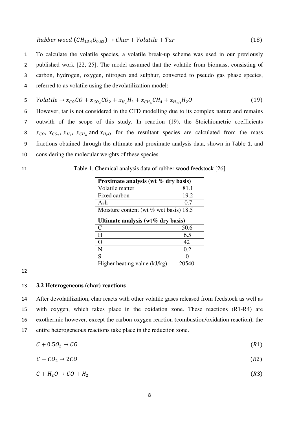$$
Rubber\,wood\,(CH_{1.54}O_{0.62}) \to Char + Volatile + Tar \tag{18}
$$

To calculate the volatile species, a volatile break-up scheme was used in our previously published work [22, 25]. The model assumed that the volatile from biomass, consisting of carbon, hydrogen, oxygen, nitrogen and sulphur, converted to pseudo gas phase species, referred to as volatile using the devolatilization model:

5 *Volatile* 
$$
\rightarrow
$$
  $x_{CO}CO + x_{CO_2}CO_2 + x_{H_2}H_2 + x_{CH_4}CH_4 + x_{H_{20}}H_2O$  (19)

However, tar is not considered in the CFD modelling due to its complex nature and remains outwith of the scope of this study. In reaction (19), the Stoichiometric coefficients  $x_{CO}$ ,  $x_{CO_2}$ ,  $x_{H_2}$ ,  $x_{CH_4}$  and  $x_{H_2O}$  for the resultant species are calculated from the mass fractions obtained through the ultimate and proximate analysis data, shown in Table 1, and considering the molecular weights of these species.

# 11 Table 1. Chemical analysis data of rubber wood feedstock [26]

| Proximate analysis (wt % dry basis)    |       |  |  |  |
|----------------------------------------|-------|--|--|--|
| Volatile matter                        | 81.1  |  |  |  |
| Fixed carbon                           | 19.2  |  |  |  |
| Ash                                    | 0.7   |  |  |  |
| Moisture content (wt % wet basis) 18.5 |       |  |  |  |
| Ultimate analysis (wt $\%$ dry basis)  |       |  |  |  |
| $\mathsf{C}$                           | 50.6  |  |  |  |
| H                                      | 6.5   |  |  |  |
| $\Omega$                               | 42    |  |  |  |
| N                                      | 0.2   |  |  |  |
| S                                      |       |  |  |  |
| Higher heating value (kJ/kg)           | 20540 |  |  |  |

12

## 13 **3.2 Heterogeneous (char) reactions**

After devolatilization, char reacts with other volatile gases released from feedstock as well as with oxygen, which takes place in the oxidation zone. These reactions (R1-R4) are exothermic however, except the carbon oxygen reaction (combustion/oxidation reaction), the entire heterogeneous reactions take place in the reduction zone.

$$
C + 0.5O_2 \rightarrow CO \tag{R1}
$$

$$
C + C O_2 \rightarrow 2CO \tag{R2}
$$

$$
C + H_2O \to CO + H_2 \tag{R3}
$$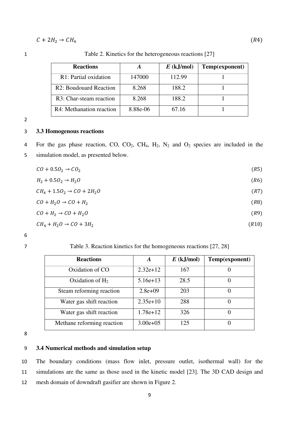$$
C + 2H_2 \to CH_4 \tag{R4}
$$

1 Table 2. Kinetics for the heterogeneous reactions [27]

| <b>Reactions</b>         |          | $E$ (kJ/mol) | Temp(exponent) |
|--------------------------|----------|--------------|----------------|
| R1: Partial oxidation    | 147000   | 112.99       |                |
| R2: Boudouard Reaction   | 8.268    | 188.2        |                |
| R3: Char-steam reaction  | 8.268    | 188.2        |                |
| R4: Methanation reaction | 8.88e-06 | 67.16        |                |

#### 3 **3.3 Homogenous reactions**

4 For the gas phase reaction, CO, CO2, CH4, H2, N2 and O2 species are included in the

5 simulation model, as presented below.

| $CO + 0.5O2 \rightarrow CO2$           | (R5)  |
|----------------------------------------|-------|
| $H_2 + 0.50_2 \rightarrow H_2O$        | (R6)  |
| $CH_4 + 1.5O_2 \rightarrow CO + 2H_2O$ | (R7)  |
| $CO + H2O \rightarrow CO + H2$         | (R8)  |
| $CO + H2 \rightarrow CO + H2O$         | (R9)  |
| $CH_4 + H_2O \rightarrow CO + 3H_2$    | (R10) |

6

7 Table 3. Reaction kinetics for the homogeneous reactions [27, 28]

| <b>Reactions</b>           | A             | $E$ (kJ/mol) | Temp(exponent) |
|----------------------------|---------------|--------------|----------------|
| Oxidation of CO            | $2.32e+12$    | 167          |                |
| Oxidation of $H_2$         | $5.16e+13$    | 28.5         |                |
| Steam reforming reaction   | $2.8e+09$     | 203          |                |
| Water gas shift reaction   | $2.35e+10$    | 288          |                |
| Water gas shift reaction   | $1.78e+12$    | 326          |                |
| Methane reforming reaction | $3.00e + 0.5$ | 125          |                |

8

#### 9 **3.4 Numerical methods and simulation setup**

10 The boundary conditions (mass flow inlet, pressure outlet, isothermal wall) for the 11 simulations are the same as those used in the kinetic model [23]. The 3D CAD design and 12 mesh domain of downdraft gasifier are shown in Figure 2.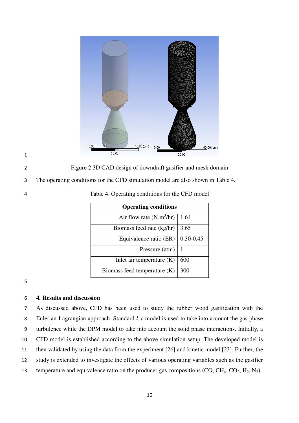

2 Figure 2 3D CAD design of downdraft gasifier and mesh domain

3 The operating conditions for the CFD simulation model are also shown in Table 4.

4 Table 4. Operating conditions for the CFD model

| <b>Operating conditions</b>  |               |  |  |  |
|------------------------------|---------------|--|--|--|
| Air flow rate $(N.m^3/hr)$   | 1.64          |  |  |  |
| Biomass feed rate (kg/hr)    | 3.65          |  |  |  |
| Equivalence ratio (ER)       | $0.30 - 0.45$ |  |  |  |
| Pressure (atm)               | 1             |  |  |  |
| Inlet air temperature $(K)$  | 600           |  |  |  |
| Biomass feed temperature (K) | 300           |  |  |  |

5

1

## 6 **4. Results and discussion**

As discussed above, CFD has been used to study the rubber wood gasification with the Eulerian-Lagrangian approach. Standard *k-ε* model is used to take into account the gas phase turbulence while the DPM model to take into account the solid phase interactions. Initially, a CFD model is established according to the above simulation setup. The developed model is then validated by using the data from the experiment [26] and kinetic model [23]. Further, the study is extended to investigate the effects of various operating variables such as the gasifier 13 temperature and equivalence ratio on the producer gas compositions  $(CO, CH_4, CO_2, H_2, N_2)$ .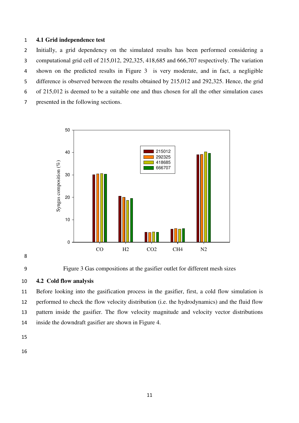## **4.1 Grid independence test**

Initially, a grid dependency on the simulated results has been performed considering a computational grid cell of 215,012, 292,325, 418,685 and 666,707 respectively. The variation shown on the predicted results in Figure 3 is very moderate, and in fact, a negligible difference is observed between the results obtained by 215,012 and 292,325. Hence, the grid of 215,012 is deemed to be a suitable one and thus chosen for all the other simulation cases presented in the following sections.





Figure 3 Gas compositions at the gasifier outlet for different mesh sizes

# **4.2 Cold flow analysis**

Before looking into the gasification process in the gasifier, first, a cold flow simulation is performed to check the flow velocity distribution (i.e. the hydrodynamics) and the fluid flow pattern inside the gasifier. The flow velocity magnitude and velocity vector distributions inside the downdraft gasifier are shown in Figure 4.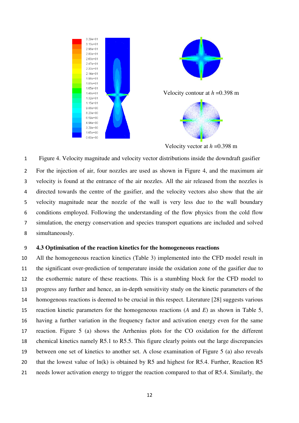

Velocity vector at *h* =0.398 m

Figure 4. Velocity magnitude and velocity vector distributions inside the downdraft gasifier For the injection of air, four nozzles are used as shown in Figure 4, and the maximum air velocity is found at the entrance of the air nozzles. All the air released from the nozzles is directed towards the centre of the gasifier, and the velocity vectors also show that the air velocity magnitude near the nozzle of the wall is very less due to the wall boundary conditions employed. Following the understanding of the flow physics from the cold flow simulation, the energy conservation and species transport equations are included and solved simultaneously.

#### **4.3 Optimisation of the reaction kinetics for the homogeneous reactions**

All the homogeneous reaction kinetics (Table 3) implemented into the CFD model result in the significant over-prediction of temperature inside the oxidation zone of the gasifier due to the exothermic nature of these reactions. This is a stumbling block for the CFD model to progress any further and hence, an in-depth sensitivity study on the kinetic parameters of the homogenous reactions is deemed to be crucial in this respect. Literature [28] suggests various reaction kinetic parameters for the homogeneous reactions (*A* and *E*) as shown in Table 5, having a further variation in the frequency factor and activation energy even for the same reaction. Figure 5 (a) shows the Arrhenius plots for the CO oxidation for the different chemical kinetics namely R5.1 to R5.5. This figure clearly points out the large discrepancies between one set of kinetics to another set. A close examination of Figure 5 (a) also reveals 20 that the lowest value of ln(k) is obtained by R5 and highest for R5.4. Further, Reaction R5 needs lower activation energy to trigger the reaction compared to that of R5.4. Similarly, the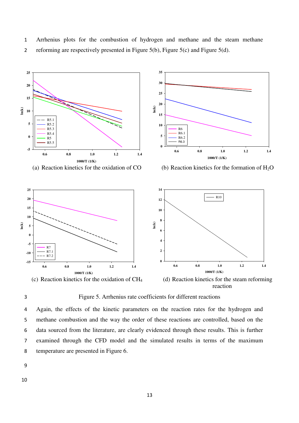1 Arrhenius plots for the combustion of hydrogen and methane and the steam methane 2 reforming are respectively presented in Figure 5(b), Figure 5(c) and Figure 5(d).





3 Figure 5. Arrhenius rate coefficients for different reactions

Again, the effects of the kinetic parameters on the reaction rates for the hydrogen and methane combustion and the way the order of these reactions are controlled, based on the data sourced from the literature, are clearly evidenced through these results. This is further examined through the CFD model and the simulated results in terms of the maximum temperature are presented in Figure 6.

9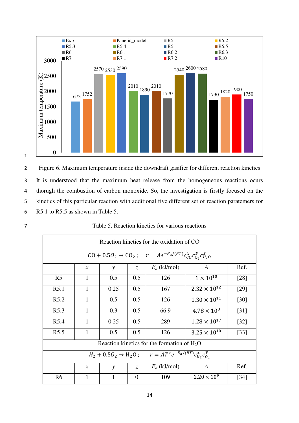

2 Figure 6. Maximum temperature inside the downdraft gasifier for different reaction kinetics 3 It is understood that the maximum heat release from the homogeneous reactions ocurs 4 thorugh the combustion of carbon monoxide. So, the investigation is firstly focused on the 5 kinetics of this particular reaction with additional five different set of reaction paratemers for 6 R5.1 to R5.5 as shown in Table 5.

| Reaction kinetics for the oxidation of CO.                                                     |               |               |                |                |                       |                    |  |
|------------------------------------------------------------------------------------------------|---------------|---------------|----------------|----------------|-----------------------|--------------------|--|
| $\overline{CO + 0.5O_2 \rightarrow CO_2}$ ; $r = Ae^{-E_a/(RT)} c_{CO}^x c_{O_2}^y c_{H_2O}^z$ |               |               |                |                |                       |                    |  |
| $E_a$ (kJ/mol)<br>Ref.<br>$\boldsymbol{A}$<br>$\mathcal{X}$<br>$\zeta$<br>$\mathcal{Y}$        |               |               |                |                |                       |                    |  |
| R <sub>5</sub>                                                                                 | 1             | 0.5           | 0.5            | 126            | $1 \times 10^{10}$    | $[28]$             |  |
| R5.1                                                                                           | 1             | 0.25          | 0.5            | 167            | $2.32 \times 10^{12}$ | [29]               |  |
| R5.2                                                                                           | 1             | 0.5           | 0.5            | 126            | $1.30 \times 10^{11}$ | $[30]$             |  |
| R <sub>5.3</sub>                                                                               | $\mathbf{1}$  | 0.3           | 0.5            | 66.9           | $4.78 \times 10^8$    | $[31]$             |  |
| R <sub>5.4</sub>                                                                               | 1             | 0.25          | 0.5            | 289            | $1.28 \times 10^{17}$ | $[32]$             |  |
| R <sub>5.5</sub>                                                                               | 1             | 0.5           | 0.5            | 126            | $3.25 \times 10^{10}$ | $\lceil 33 \rceil$ |  |
| Reaction kinetics for the formation of $H_2O$                                                  |               |               |                |                |                       |                    |  |
| $H_2 + 0.5O_2 \rightarrow H_2O$ ; $r = AT^z e^{-E_a/(RT)} c_{H_2}^x c_{O_2}^y$                 |               |               |                |                |                       |                    |  |
|                                                                                                | $\mathcal{X}$ | $\mathcal{Y}$ | $Z_{\rm c}$    | $E_a$ (kJ/mol) | $\boldsymbol{A}$      | Ref.               |  |
| R <sub>6</sub>                                                                                 |               |               | $\overline{0}$ | 109            | $2.20 \times 10^{9}$  | [34]               |  |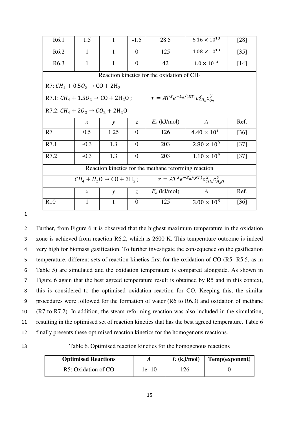| R6.1                                                                                               | 1.5           | 1            | $-1.5$         | 28.5                                                                                         | $5.16 \times 10^{13}$ | [28]   |
|----------------------------------------------------------------------------------------------------|---------------|--------------|----------------|----------------------------------------------------------------------------------------------|-----------------------|--------|
| R <sub>6.2</sub>                                                                                   | $\mathbf{1}$  | $\mathbf{1}$ | $\Omega$       | 125                                                                                          | $1.08\times10^{13}$   | $[35]$ |
| R <sub>6.3</sub>                                                                                   | 1             | 1            | $\theta$       | 42                                                                                           | $1.0 \times 10^{14}$  | $[14]$ |
|                                                                                                    |               |              |                | Reaction kinetics for the oxidation of CH <sub>4</sub>                                       |                       |        |
| R7: $CH_4 + 0.5O_2 \rightarrow CO + 2H_2$                                                          |               |              |                |                                                                                              |                       |        |
|                                                                                                    |               |              |                | R7.1: $CH_4 + 1.5O_2 \rightarrow CO + 2H_2O$ ; $r = AT^z e^{-E_a/(RT)} c_{CH_4}^x c_{O_2}^y$ |                       |        |
| R7.2: $CH_4 + 2O_2 \rightarrow CO_2 + 2H_2O$                                                       |               |              |                |                                                                                              |                       |        |
|                                                                                                    | $\mathcal{X}$ | $\mathbf{y}$ | Z.             | $E_a$ (kJ/mol)                                                                               | $\boldsymbol{A}$      | Ref.   |
| R7                                                                                                 | 0.5           | 1.25         | $\overline{0}$ | 126                                                                                          | $4.40 \times 10^{11}$ | [36]   |
| R7.1                                                                                               | $-0.3$        | 1.3          | $\overline{0}$ | 203                                                                                          | $2.80 \times 10^{9}$  | $[37]$ |
| R7.2                                                                                               | $-0.3$        | 1.3          | $\overline{0}$ | 203                                                                                          | $1.10 \times 10^{9}$  | $[37]$ |
| Reaction kinetics for the methane reforming reaction                                               |               |              |                |                                                                                              |                       |        |
| $\overline{r = AT^z e^{-E_a/(RT)}} c_{CH_a}^x c_{H_2O}^y$<br>$CH_4 + H_2O \rightarrow CO + 3H_2$ ; |               |              |                |                                                                                              |                       |        |
|                                                                                                    | $\mathcal{X}$ | y            | Z.             | $E_a$ (kJ/mol)                                                                               | $\boldsymbol{A}$      | Ref.   |
| R10                                                                                                | 1             | 1            | $\Omega$       | 125                                                                                          | $3.00 \times 10^8$    | [36]   |

Further, from Figure 6 it is observed that the highest maximum temperature in the oxidation zone is achieved from reaction R6.2, which is 2600 K. This temperature outcome is indeed very high for biomass gasification. To further investigate the consequence on the gasification 5 temperature, different sets of reaction kinetics first for the oxidation of CO (R5- R5.5, as in Table 5) are simulated and the oxidation temperature is compared alongside. As shown in Figure 6 again that the best agreed temperature result is obtained by R5 and in this context, this is considered to the optimised oxidation reaction for CO. Keeping this, the similar procedures were followed for the formation of water (R6 to R6.3) and oxidation of methane (R7 to R7.2). In addition, the steam reforming reaction was also included in the simulation, resulting in the optimised set of reaction kinetics that has the best agreed temperature. Table 6 finally presents these optimised reaction kinetics for the homogenous reactions.

13 Table 6. Optimised reaction kinetics for the homogenous reactions

| <b>Optimised Reactions</b> | A       | $E$ (kJ/mol) | $\vert$ Temp(exponent) |
|----------------------------|---------|--------------|------------------------|
| R5: Oxidation of CO        | $1e+10$ | 126          |                        |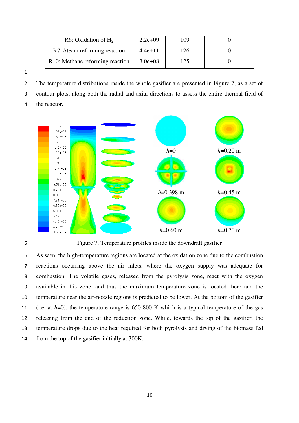| R6: Oxidation of $H_2$                       | $2.2e+09$   | 109 |  |
|----------------------------------------------|-------------|-----|--|
| R7: Steam reforming reaction                 | $4.4e+11$   | 126 |  |
| R <sub>10</sub> : Methane reforming reaction | $3.0e + 08$ | 125 |  |

The temperature distributions inside the whole gasifier are presented in Figure 7, as a set of contour plots, along both the radial and axial directions to assess the entire thermal field of

the reactor.





Figure 7. Temperature profiles inside the downdraft gasifier

As seen, the high-temperature regions are located at the oxidation zone due to the combustion reactions occurring above the air inlets, where the oxygen supply was adequate for combustion. The volatile gases, released from the pyrolysis zone, react with the oxygen available in this zone, and thus the maximum temperature zone is located there and the temperature near the air-nozzle regions is predicted to be lower. At the bottom of the gasifier (i.e. at *h*=0), the temperature range is 650-800 K which is a typical temperature of the gas releasing from the end of the reduction zone. While, towards the top of the gasifier, the temperature drops due to the heat required for both pyrolysis and drying of the biomass fed from the top of the gasifier initially at 300K.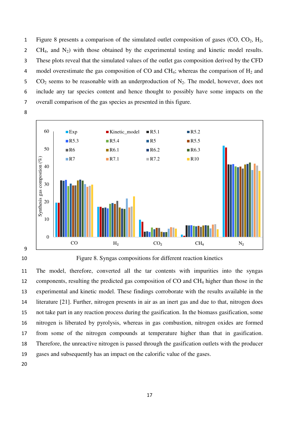1 Figure 8 presents a comparison of the simulated outlet composition of gases  $(CO, CO<sub>2</sub>, H<sub>2</sub>)$ 2 CH<sub>4</sub>, and  $N_2$ ) with those obtained by the experimental testing and kinetic model results. These plots reveal that the simulated values of the outlet gas composition derived by the CFD 4 model overestimate the gas composition of CO and CH<sub>4</sub>; whereas the comparison of  $H_2$  and 5  $CO_2$  seems to be reasonable with an underproduction of  $N_2$ . The model, however, does not include any tar species content and hence thought to possibly have some impacts on the overall comparison of the gas species as presented in this figure.





Figure 8. Syngas compositions for different reaction kinetics

The model, therefore, converted all the tar contents with impurities into the syngas 12 components, resulting the predicted gas composition of CO and CH<sub>4</sub> higher than those in the experimental and kinetic model. These findings corroborate with the results available in the literature [21]. Further, nitrogen presents in air as an inert gas and due to that, nitrogen does not take part in any reaction process during the gasification. In the biomass gasification, some nitrogen is liberated by pyrolysis, whereas in gas combustion, nitrogen oxides are formed from some of the nitrogen compounds at temperature higher than that in gasification. Therefore, the unreactive nitrogen is passed through the gasification outlets with the producer gases and subsequently has an impact on the calorific value of the gases.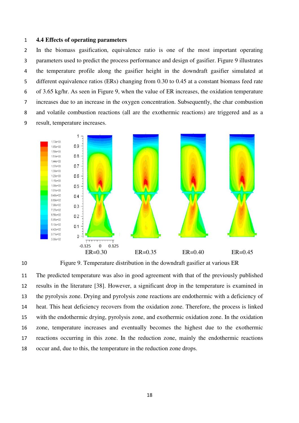#### **4.4 Effects of operating parameters**

In the biomass gasification, equivalence ratio is one of the most important operating parameters used to predict the process performance and design of gasifier. Figure 9 illustrates the temperature profile along the gasifier height in the downdraft gasifier simulated at different equivalence ratios (ERs) changing from 0.30 to 0.45 at a constant biomass feed rate of 3.65 kg/hr. As seen in Figure 9, when the value of ER increases, the oxidation temperature increases due to an increase in the oxygen concentration. Subsequently, the char combustion and volatile combustion reactions (all are the exothermic reactions) are triggered and as a result, temperature increases.





Figure 9. Temperature distribution in the downdraft gasifier at various ER

The predicted temperature was also in good agreement with that of the previously published results in the literature [38]. However, a significant drop in the temperature is examined in the pyrolysis zone. Drying and pyrolysis zone reactions are endothermic with a deficiency of heat. This heat deficiency recovers from the oxidation zone. Therefore, the process is linked with the endothermic drying, pyrolysis zone, and exothermic oxidation zone. In the oxidation zone, temperature increases and eventually becomes the highest due to the exothermic reactions occurring in this zone. In the reduction zone, mainly the endothermic reactions occur and, due to this, the temperature in the reduction zone drops.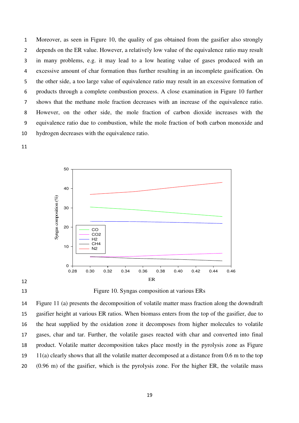Moreover, as seen in Figure 10, the quality of gas obtained from the gasifier also strongly depends on the ER value. However, a relatively low value of the equivalence ratio may result in many problems, e.g. it may lead to a low heating value of gases produced with an excessive amount of char formation thus further resulting in an incomplete gasification. On the other side, a too large value of equivalence ratio may result in an excessive formation of products through a complete combustion process. A close examination in Figure 10 further shows that the methane mole fraction decreases with an increase of the equivalence ratio. However, on the other side, the mole fraction of carbon dioxide increases with the equivalence ratio due to combustion, while the mole fraction of both carbon monoxide and hydrogen decreases with the equivalence ratio.





## 



Figure 11 (a) presents the decomposition of volatile matter mass fraction along the downdraft gasifier height at various ER ratios. When biomass enters from the top of the gasifier, due to the heat supplied by the oxidation zone it decomposes from higher molecules to volatile gases, char and tar. Further, the volatile gases reacted with char and converted into final product. Volatile matter decomposition takes place mostly in the pyrolysis zone as Figure 11(a) clearly shows that all the volatile matter decomposed at a distance from 0.6 m to the top (0.96 m) of the gasifier, which is the pyrolysis zone. For the higher ER, the volatile mass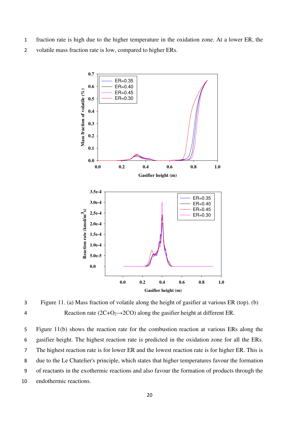- 1 fraction rate is high due to the higher temperature in the oxidation zone. At a lower ER, the
- 2 volatile mass fraction rate is low, compared to higher ERs.



3 Figure 11. (a) Mass fraction of volatile along the height of gasifier at various ER (top). (b) 4 Reaction rate ( $2C+O_2 \rightarrow 2CO$ ) along the gasifier height at different ER.

Figure 11(b) shows the reaction rate for the combustion reaction at various ERs along the gasifier height. The highest reaction rate is predicted in the oxidation zone for all the ERs. The highest reaction rate is for lower ER and the lowest reaction rate is for higher ER. This is due to the Le Chatelier's principle, which states that higher temperatures favour the formation of reactants in the exothermic reactions and also favour the formation of products through the endothermic reactions.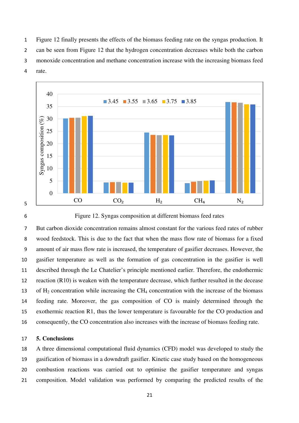Figure 12 finally presents the effects of the biomass feeding rate on the syngas production. It can be seen from Figure 12 that the hydrogen concentration decreases while both the carbon monoxide concentration and methane concentration increase with the increasing biomass feed rate.





Figure 12. Syngas composition at different biomass feed rates

But carbon dioxide concentration remains almost constant for the various feed rates of rubber wood feedstock. This is due to the fact that when the mass flow rate of biomass for a fixed amount of air mass flow rate is increased, the temperature of gasifier decreases. However, the gasifier temperature as well as the formation of gas concentration in the gasifier is well described through the Le Chatelier's principle mentioned earlier. Therefore, the endothermic reaction (R10) is weaken with the temperature decrease, which further resulted in the decease 13 of  $H_2$  concentration while increasing the CH<sub>4</sub> concentration with the increase of the biomass feeding rate. Moreover, the gas composition of CO is mainly determined through the exothermic reaction R1, thus the lower temperature is favourable for the CO production and consequently, the CO concentration also increases with the increase of biomass feeding rate.

## **5. Conclusions**

A three dimensional computational fluid dynamics (CFD) model was developed to study the gasification of biomass in a downdraft gasifier. Kinetic case study based on the homogeneous combustion reactions was carried out to optimise the gasifier temperature and syngas composition. Model validation was performed by comparing the predicted results of the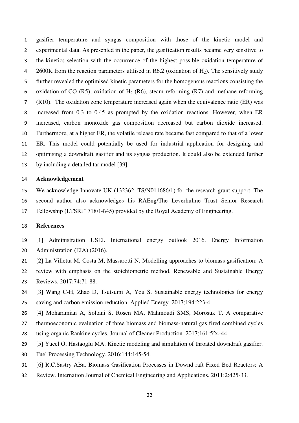gasifier temperature and syngas composition with those of the kinetic model and experimental data. As presented in the paper, the gasification results became very sensitive to the kinetics selection with the occurrence of the highest possible oxidation temperature of 4 2600K from the reaction parameters utilised in R6.2 (oxidation of  $H_2$ ). The sensitively study further revealed the optimised kinetic parameters for the homogenous reactions consisting the 6 oxidation of CO (R5), oxidation of H<sub>2</sub> (R6), steam reforming (R7) and methane reforming (R10). The oxidation zone temperature increased again when the equivalence ratio (ER) was increased from 0.3 to 0.45 as prompted by the oxidation reactions. However, when ER increased, carbon monoxide gas composition decreased but carbon dioxide increased. Furthermore, at a higher ER, the volatile release rate became fast compared to that of a lower ER. This model could potentially be used for industrial application for designing and optimising a downdraft gasifier and its syngas production. It could also be extended further by including a detailed tar model [39].

#### **Acknowledgement**

We acknowledge Innovate UK (132362, TS/N011686/1) for the research grant support. The second author also acknowledges his RAEng/The Leverhulme Trust Senior Research Fellowship (LTSRF1718\14\45) provided by the Royal Academy of Engineering.

#### **References**

- [1] Administration USEI. International energy outlook 2016. Energy Information Administration (EIA) (2016).
- [2] La Villetta M, Costa M, Massarotti N. Modelling approaches to biomass gasification: A review with emphasis on the stoichiometric method. Renewable and Sustainable Energy Reviews. 2017;74:71-88.
- [3] Wang C-H, Zhao D, Tsutsumi A, You S. Sustainable energy technologies for energy saving and carbon emission reduction. Applied Energy. 2017;194:223-4.
- [4] Moharamian A, Soltani S, Rosen MA, Mahmoudi SMS, Morosuk T. A comparative
- thermoeconomic evaluation of three biomass and biomass-natural gas fired combined cycles
- using organic Rankine cycles. Journal of Cleaner Production. 2017;161:524-44.
- [5] Yucel O, Hastaoglu MA. Kinetic modeling and simulation of throated downdraft gasifier.
- Fuel Processing Technology. 2016;144:145-54.
- [6] R.C.Sastry ABa. Biomass Gasification Processes in Downd raft Fixed Bed Reactors: A
- Review. Internation Journal of Chemical Engineering and Applications. 2011;2:425-33.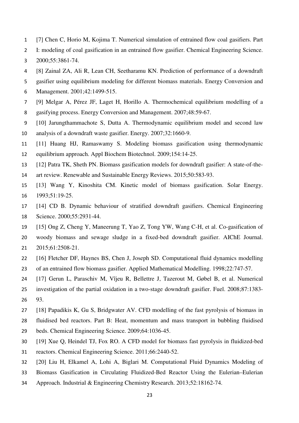- [7] Chen C, Horio M, Kojima T. Numerical simulation of entrained flow coal gasifiers. Part
- I: modeling of coal gasification in an entrained flow gasifier. Chemical Engineering Science.
- 2000;55:3861-74.
- [8] Zainal ZA, Ali R, Lean CH, Seetharamu KN. Prediction of performance of a downdraft
- gasifier using equilibrium modeling for different biomass materials. Energy Conversion and
- Management. 2001;42:1499-515.
- [9] Melgar A, Pérez JF, Laget H, Horillo A. Thermochemical equilibrium modelling of a
- gasifying process. Energy Conversion and Management. 2007;48:59-67.
- [10] Jarungthammachote S, Dutta A. Thermodynamic equilibrium model and second law
- analysis of a downdraft waste gasifier. Energy. 2007;32:1660-9.
- [11] Huang HJ, Ramaswamy S. Modeling biomass gasification using thermodynamic equilibrium approach. Appl Biochem Biotechnol. 2009;154:14-25.
- [12] Patra TK, Sheth PN. Biomass gasification models for downdraft gasifier: A state-of-the-
- art review. Renewable and Sustainable Energy Reviews. 2015;50:583-93.
- [13] Wang Y, Kinoshita CM. Kinetic model of biomass gasification. Solar Energy. 1993;51:19-25.
- [14] CD B. Dynamic behaviour of stratified downdraft gasifiers. Chemical Engineering Science. 2000;55:2931-44.
- [15] Ong Z, Cheng Y, Maneerung T, Yao Z, Tong YW, Wang C-H, et al. Co-gasification of
- woody biomass and sewage sludge in a fixed-bed downdraft gasifier. AIChE Journal. 2015;61:2508-21.
- [16] Fletcher DF, Haynes BS, Chen J, Joseph SD. Computational fluid dynamics modelling of an entrained flow biomass gasifier. Applied Mathematical Modelling. 1998;22:747-57.
- [17] Gerun L, Paraschiv M, Vîjeu R, Bellettre J, Tazerout M, Gøbel B, et al. Numerical
- investigation of the partial oxidation in a two-stage downdraft gasifier. Fuel. 2008;87:1383- 93.
- [18] Papadikis K, Gu S, Bridgwater AV. CFD modelling of the fast pyrolysis of biomass in
- fluidised bed reactors. Part B: Heat, momentum and mass transport in bubbling fluidised
- beds. Chemical Engineering Science. 2009;64:1036-45.
- [19] Xue Q, Heindel TJ, Fox RO. A CFD model for biomass fast pyrolysis in fluidized-bed
- reactors. Chemical Engineering Science. 2011;66:2440-52.
- [20] Liu H, Elkamel A, Lohi A, Biglari M. Computational Fluid Dynamics Modeling of
- Biomass Gasification in Circulating Fluidized-Bed Reactor Using the Eulerian–Eulerian
- Approach. Industrial & Engineering Chemistry Research. 2013;52:18162-74.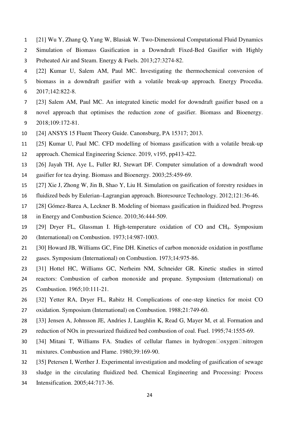- [21] Wu Y, Zhang Q, Yang W, Blasiak W. Two-Dimensional Computational Fluid Dynamics
- Simulation of Biomass Gasification in a Downdraft Fixed-Bed Gasifier with Highly Preheated Air and Steam. Energy & Fuels. 2013;27:3274-82.
- [22] Kumar U, Salem AM, Paul MC. Investigating the thermochemical conversion of biomass in a downdraft gasifier with a volatile break-up approach. Energy Procedia. 2017;142:822-8.
- [23] Salem AM, Paul MC. An integrated kinetic model for downdraft gasifier based on a
- novel approach that optimises the reduction zone of gasifier. Biomass and Bioenergy. 2018;109:172-81.
- [24] ANSYS 15 Fluent Theory Guide. Canonsburg, PA 15317; 2013.
- [25] Kumar U, Paul MC. CFD modelling of biomass gasification with a volatile break-up
- approach. Chemical Engineering Science. 2019, v195, pp413-422.
- [26] Jayah TH, Aye L, Fuller RJ, Stewart DF. Computer simulation of a downdraft wood
- gasifier for tea drying. Biomass and Bioenergy. 2003;25:459-69.
- [27] Xie J, Zhong W, Jin B, Shao Y, Liu H. Simulation on gasification of forestry residues in
- fluidized beds by Eulerian–Lagrangian approach. Bioresource Technology. 2012;121:36-46.
- [28] Gómez-Barea A, Leckner B. Modeling of biomass gasification in fluidized bed. Progress
- in Energy and Combustion Science. 2010;36:444-509.
- [29] Dryer FL, Glassman I. High-temperature oxidation of CO and CH4. Symposium (International) on Combustion. 1973;14:987-1003.
- [30] Howard JB, Williams GC, Fine DH. Kinetics of carbon monoxide oxidation in postflame
- gases. Symposium (International) on Combustion. 1973;14:975-86.
- [31] Hottel HC, Williams GC, Nerheim NM, Schneider GR. Kinetic studies in stirred
- reactors: Combustion of carbon monoxide and propane. Symposium (International) on
- Combustion. 1965;10:111-21.
- [32] Yetter RA, Dryer FL, Rabitz H. Complications of one-step kinetics for moist CO oxidation. Symposium (International) on Combustion. 1988;21:749-60.
- [33] Jensen A, Johnsson JE, Andries J, Laughlin K, Read G, Mayer M, et al. Formation and
- reduction of NOx in pressurized fluidized bed combustion of coal. Fuel. 1995;74:1555-69.
- 30 [34] Mitani T, Williams FA. Studies of cellular flames in hydrogen $\Box$ oxygen $\Box$ nitrogen
- mixtures. Combustion and Flame. 1980;39:169-90.
- [35] Petersen I, Werther J. Experimental investigation and modeling of gasification of sewage
- sludge in the circulating fluidized bed. Chemical Engineering and Processing: Process
- Intensification. 2005;44:717-36.